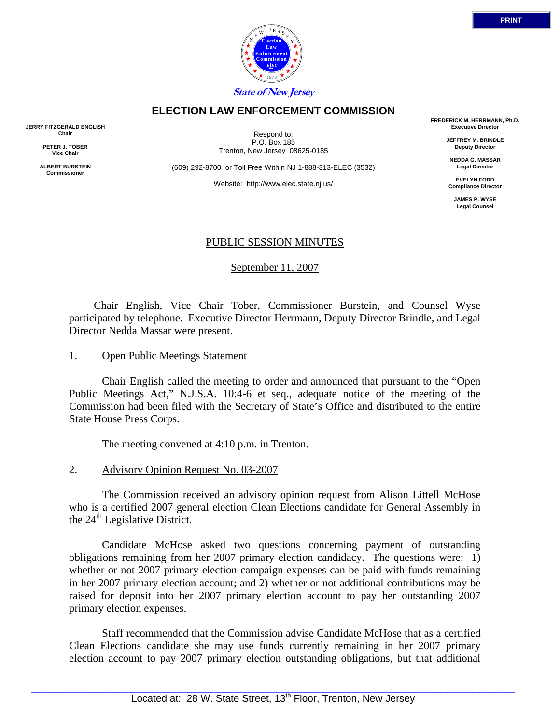

#### **ELECTION LAW ENFORCEMENT COMMISSION**

**JERRY FITZGERALD ENGLISH Chair** 

> **PETER J. TOBER Vice Chair**

**ALBERT BURSTEIN Commissioner** 

Respond to: P.O. Box 185 Trenton, New Jersey 08625-0185

(609) 292-8700 or Toll Free Within NJ 1-888-313-ELEC (3532)

Website: http://www.elec.state.nj.us/

**FREDERICK M. HERRMANN, Ph.D. Executive Director** 

> **JEFFREY M. BRINDLE Deputy Director**

**NEDDA G. MASSAR Legal Director** 

**EVELYN FORD Compliance Director** 

> **JAMES P. WYSE Legal Counsel**

## PUBLIC SESSION MINUTES

September 11, 2007

 Chair English, Vice Chair Tober, Commissioner Burstein, and Counsel Wyse participated by telephone. Executive Director Herrmann, Deputy Director Brindle, and Legal Director Nedda Massar were present.

#### 1. Open Public Meetings Statement

 Chair English called the meeting to order and announced that pursuant to the "Open Public Meetings Act," N.J.S.A. 10:4-6 et seq., adequate notice of the meeting of the Commission had been filed with the Secretary of State's Office and distributed to the entire State House Press Corps.

The meeting convened at 4:10 p.m. in Trenton.

2. Advisory Opinion Request No. 03-2007

 The Commission received an advisory opinion request from Alison Littell McHose who is a certified 2007 general election Clean Elections candidate for General Assembly in the  $24<sup>th</sup>$  Legislative District.

 Candidate McHose asked two questions concerning payment of outstanding obligations remaining from her 2007 primary election candidacy. The questions were: 1) whether or not 2007 primary election campaign expenses can be paid with funds remaining in her 2007 primary election account; and 2) whether or not additional contributions may be raised for deposit into her 2007 primary election account to pay her outstanding 2007 primary election expenses.

 Staff recommended that the Commission advise Candidate McHose that as a certified Clean Elections candidate she may use funds currently remaining in her 2007 primary election account to pay 2007 primary election outstanding obligations, but that additional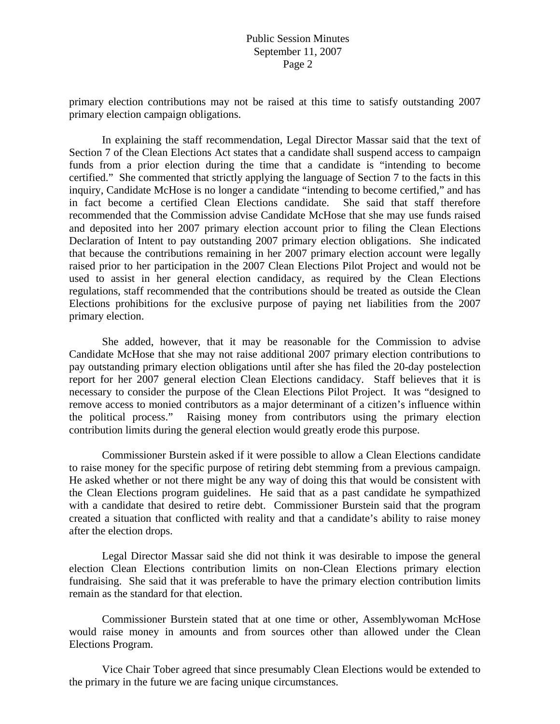#### Public Session Minutes September 11, 2007 Page 2

primary election contributions may not be raised at this time to satisfy outstanding 2007 primary election campaign obligations.

 In explaining the staff recommendation, Legal Director Massar said that the text of Section 7 of the Clean Elections Act states that a candidate shall suspend access to campaign funds from a prior election during the time that a candidate is "intending to become certified." She commented that strictly applying the language of Section 7 to the facts in this inquiry, Candidate McHose is no longer a candidate "intending to become certified," and has in fact become a certified Clean Elections candidate. She said that staff therefore recommended that the Commission advise Candidate McHose that she may use funds raised and deposited into her 2007 primary election account prior to filing the Clean Elections Declaration of Intent to pay outstanding 2007 primary election obligations. She indicated that because the contributions remaining in her 2007 primary election account were legally raised prior to her participation in the 2007 Clean Elections Pilot Project and would not be used to assist in her general election candidacy, as required by the Clean Elections regulations, staff recommended that the contributions should be treated as outside the Clean Elections prohibitions for the exclusive purpose of paying net liabilities from the 2007 primary election.

 She added, however, that it may be reasonable for the Commission to advise Candidate McHose that she may not raise additional 2007 primary election contributions to pay outstanding primary election obligations until after she has filed the 20-day postelection report for her 2007 general election Clean Elections candidacy. Staff believes that it is necessary to consider the purpose of the Clean Elections Pilot Project. It was "designed to remove access to monied contributors as a major determinant of a citizen's influence within the political process." Raising money from contributors using the primary election contribution limits during the general election would greatly erode this purpose.

 Commissioner Burstein asked if it were possible to allow a Clean Elections candidate to raise money for the specific purpose of retiring debt stemming from a previous campaign. He asked whether or not there might be any way of doing this that would be consistent with the Clean Elections program guidelines. He said that as a past candidate he sympathized with a candidate that desired to retire debt. Commissioner Burstein said that the program created a situation that conflicted with reality and that a candidate's ability to raise money after the election drops.

 Legal Director Massar said she did not think it was desirable to impose the general election Clean Elections contribution limits on non-Clean Elections primary election fundraising. She said that it was preferable to have the primary election contribution limits remain as the standard for that election.

 Commissioner Burstein stated that at one time or other, Assemblywoman McHose would raise money in amounts and from sources other than allowed under the Clean Elections Program.

 Vice Chair Tober agreed that since presumably Clean Elections would be extended to the primary in the future we are facing unique circumstances.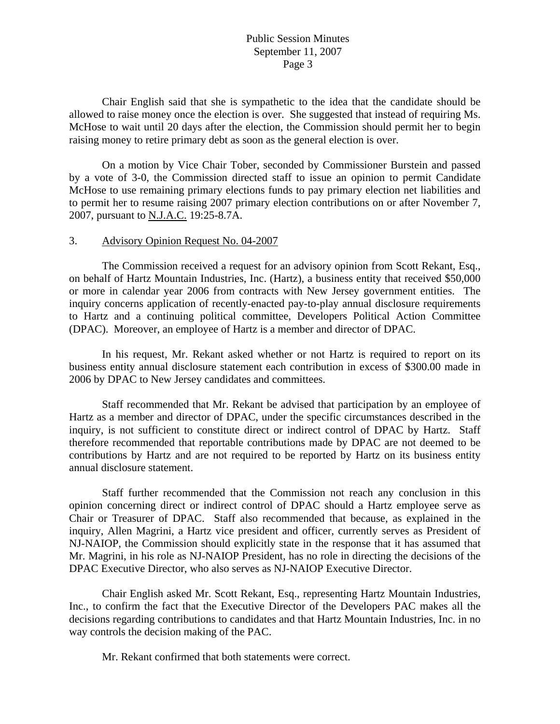## Public Session Minutes September 11, 2007 Page 3

 Chair English said that she is sympathetic to the idea that the candidate should be allowed to raise money once the election is over. She suggested that instead of requiring Ms. McHose to wait until 20 days after the election, the Commission should permit her to begin raising money to retire primary debt as soon as the general election is over.

 On a motion by Vice Chair Tober, seconded by Commissioner Burstein and passed by a vote of 3-0, the Commission directed staff to issue an opinion to permit Candidate McHose to use remaining primary elections funds to pay primary election net liabilities and to permit her to resume raising 2007 primary election contributions on or after November 7, 2007, pursuant to N.J.A.C. 19:25-8.7A.

#### 3. Advisory Opinion Request No. 04-2007

 The Commission received a request for an advisory opinion from Scott Rekant, Esq., on behalf of Hartz Mountain Industries, Inc. (Hartz), a business entity that received \$50,000 or more in calendar year 2006 from contracts with New Jersey government entities. The inquiry concerns application of recently-enacted pay-to-play annual disclosure requirements to Hartz and a continuing political committee, Developers Political Action Committee (DPAC). Moreover, an employee of Hartz is a member and director of DPAC.

 In his request, Mr. Rekant asked whether or not Hartz is required to report on its business entity annual disclosure statement each contribution in excess of \$300.00 made in 2006 by DPAC to New Jersey candidates and committees.

 Staff recommended that Mr. Rekant be advised that participation by an employee of Hartz as a member and director of DPAC, under the specific circumstances described in the inquiry, is not sufficient to constitute direct or indirect control of DPAC by Hartz. Staff therefore recommended that reportable contributions made by DPAC are not deemed to be contributions by Hartz and are not required to be reported by Hartz on its business entity annual disclosure statement.

 Staff further recommended that the Commission not reach any conclusion in this opinion concerning direct or indirect control of DPAC should a Hartz employee serve as Chair or Treasurer of DPAC. Staff also recommended that because, as explained in the inquiry, Allen Magrini, a Hartz vice president and officer, currently serves as President of NJ-NAIOP, the Commission should explicitly state in the response that it has assumed that Mr. Magrini, in his role as NJ-NAIOP President, has no role in directing the decisions of the DPAC Executive Director, who also serves as NJ-NAIOP Executive Director.

 Chair English asked Mr. Scott Rekant, Esq., representing Hartz Mountain Industries, Inc., to confirm the fact that the Executive Director of the Developers PAC makes all the decisions regarding contributions to candidates and that Hartz Mountain Industries, Inc. in no way controls the decision making of the PAC.

Mr. Rekant confirmed that both statements were correct.